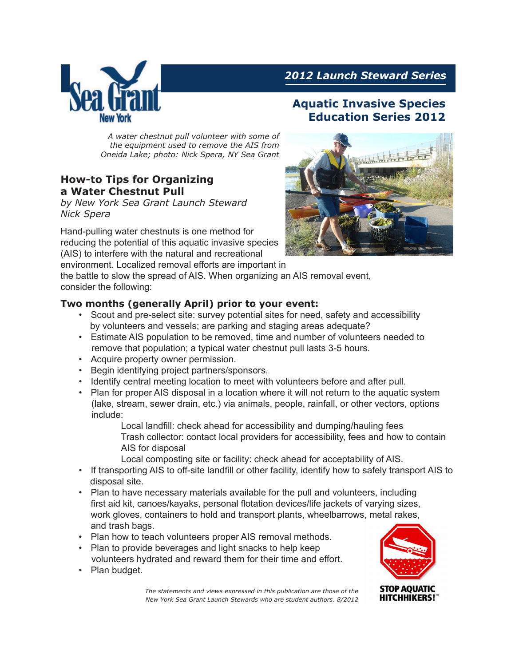

# *2012 Launch Steward Series*

# **Aquatic Invasive Species Education Series 2012**

*A water chestnut pull volunteer with some of the equipment used to remove the AIS from Oneida Lake; photo: Nick Spera, NY Sea Grant*

# **How-to Tips for Organizing a Water Chestnut Pull**

*by New York Sea Grant Launch Steward Nick Spera*

Hand-pulling water chestnuts is one method for reducing the potential of this aquatic invasive species (AIS) to interfere with the natural and recreational

environment. Localized removal efforts are important in



the battle to slow the spread of AIS. When organizing an AIS removal event, consider the following:

### **Two months (generally April) prior to your event:**

- Scout and pre-select site: survey potential sites for need, safety and accessibility by volunteers and vessels; are parking and staging areas adequate?
- Estimate AIS population to be removed, time and number of volunteers needed to remove that population; a typical water chestnut pull lasts 3-5 hours.
- Acquire property owner permission.
- Begin identifying project partners/sponsors.
- Identify central meeting location to meet with volunteers before and after pull.
- Plan for proper AIS disposal in a location where it will not return to the aquatic system (lake, stream, sewer drain, etc.) via animals, people, rainfall, or other vectors, options include:

Local landfill: check ahead for accessibility and dumping/hauling fees Trash collector: contact local providers for accessibility, fees and how to contain AIS for disposal

Local composting site or facility: check ahead for acceptability of AIS.

- If transporting AIS to off-site landfill or other facility, identify how to safely transport AIS to disposal site.
- Plan to have necessary materials available for the pull and volunteers, including first aid kit, canoes/kayaks, personal flotation devices/life jackets of varying sizes, work gloves, containers to hold and transport plants, wheelbarrows, metal rakes, and trash bags.
- Plan how to teach volunteers proper AIS removal methods.
- Plan to provide beverages and light snacks to help keep volunteers hydrated and reward them for their time and effort.
- Plan budget.

*The statements and views expressed in this publication are those of the New York Sea Grant Launch Stewards who are student authors. 8/2012*